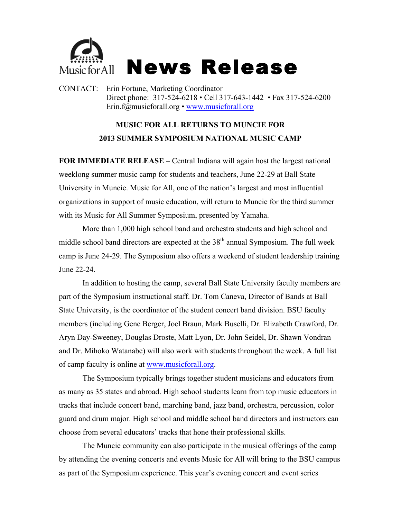

CONTACT: Erin Fortune, Marketing Coordinator Direct phone: 317-524-6218 • Cell 317-643-1442 • Fax 317-524-6200 Erin.f@musicforall.org • www.musicforall.org

## **MUSIC FOR ALL RETURNS TO MUNCIE FOR 2013 SUMMER SYMPOSIUM NATIONAL MUSIC CAMP**

**FOR IMMEDIATE RELEASE** – Central Indiana will again host the largest national weeklong summer music camp for students and teachers, June 22-29 at Ball State University in Muncie. Music for All, one of the nation's largest and most influential organizations in support of music education, will return to Muncie for the third summer with its Music for All Summer Symposium, presented by Yamaha.

More than 1,000 high school band and orchestra students and high school and middle school band directors are expected at the  $38<sup>th</sup>$  annual Symposium. The full week camp is June 24-29. The Symposium also offers a weekend of student leadership training June 22-24.

In addition to hosting the camp, several Ball State University faculty members are part of the Symposium instructional staff. Dr. Tom Caneva, Director of Bands at Ball State University, is the coordinator of the student concert band division. BSU faculty members (including Gene Berger, Joel Braun, Mark Buselli, Dr. Elizabeth Crawford, Dr. Aryn Day-Sweeney, Douglas Droste, Matt Lyon, Dr. John Seidel, Dr. Shawn Vondran and Dr. Mihoko Watanabe) will also work with students throughout the week. A full list of camp faculty is online at www.musicforall.org.

The Symposium typically brings together student musicians and educators from as many as 35 states and abroad. High school students learn from top music educators in tracks that include concert band, marching band, jazz band, orchestra, percussion, color guard and drum major. High school and middle school band directors and instructors can choose from several educators' tracks that hone their professional skills.

The Muncie community can also participate in the musical offerings of the camp by attending the evening concerts and events Music for All will bring to the BSU campus as part of the Symposium experience. This year's evening concert and event series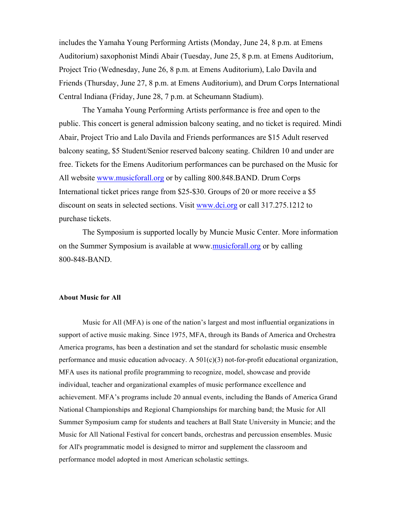includes the Yamaha Young Performing Artists (Monday, June 24, 8 p.m. at Emens Auditorium) saxophonist Mindi Abair (Tuesday, June 25, 8 p.m. at Emens Auditorium, Project Trio (Wednesday, June 26, 8 p.m. at Emens Auditorium), Lalo Davila and Friends (Thursday, June 27, 8 p.m. at Emens Auditorium), and Drum Corps International Central Indiana (Friday, June 28, 7 p.m. at Scheumann Stadium).

The Yamaha Young Performing Artists performance is free and open to the public. This concert is general admission balcony seating, and no ticket is required. Mindi Abair, Project Trio and Lalo Davila and Friends performances are \$15 Adult reserved balcony seating, \$5 Student/Senior reserved balcony seating. Children 10 and under are free. Tickets for the Emens Auditorium performances can be purchased on the Music for All website www.musicforall.org or by calling 800.848.BAND. Drum Corps International ticket prices range from \$25-\$30. Groups of 20 or more receive a \$5 discount on seats in selected sections. Visit www.dci.org or call 317.275.1212 to purchase tickets.

The Symposium is supported locally by Muncie Music Center. More information on the Summer Symposium is available at www.musicforall.org or by calling 800-848-BAND.

## **About Music for All**

Music for All (MFA) is one of the nation's largest and most influential organizations in support of active music making. Since 1975, MFA, through its Bands of America and Orchestra America programs, has been a destination and set the standard for scholastic music ensemble performance and music education advocacy. A  $501(c)(3)$  not-for-profit educational organization, MFA uses its national profile programming to recognize, model, showcase and provide individual, teacher and organizational examples of music performance excellence and achievement. MFA's programs include 20 annual events, including the Bands of America Grand National Championships and Regional Championships for marching band; the Music for All Summer Symposium camp for students and teachers at Ball State University in Muncie; and the Music for All National Festival for concert bands, orchestras and percussion ensembles. Music for All's programmatic model is designed to mirror and supplement the classroom and performance model adopted in most American scholastic settings.